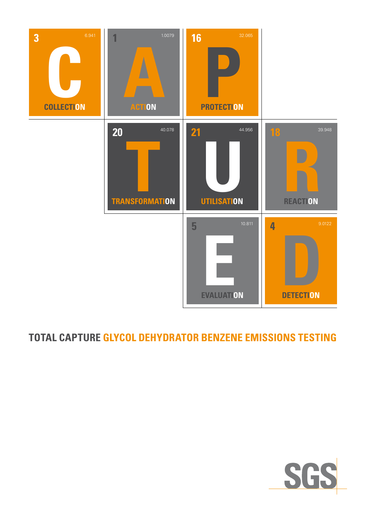

## **TOTAL CAPTURE GLYCOL DEHYDRATOR BENZENE EMISSIONS TESTING**